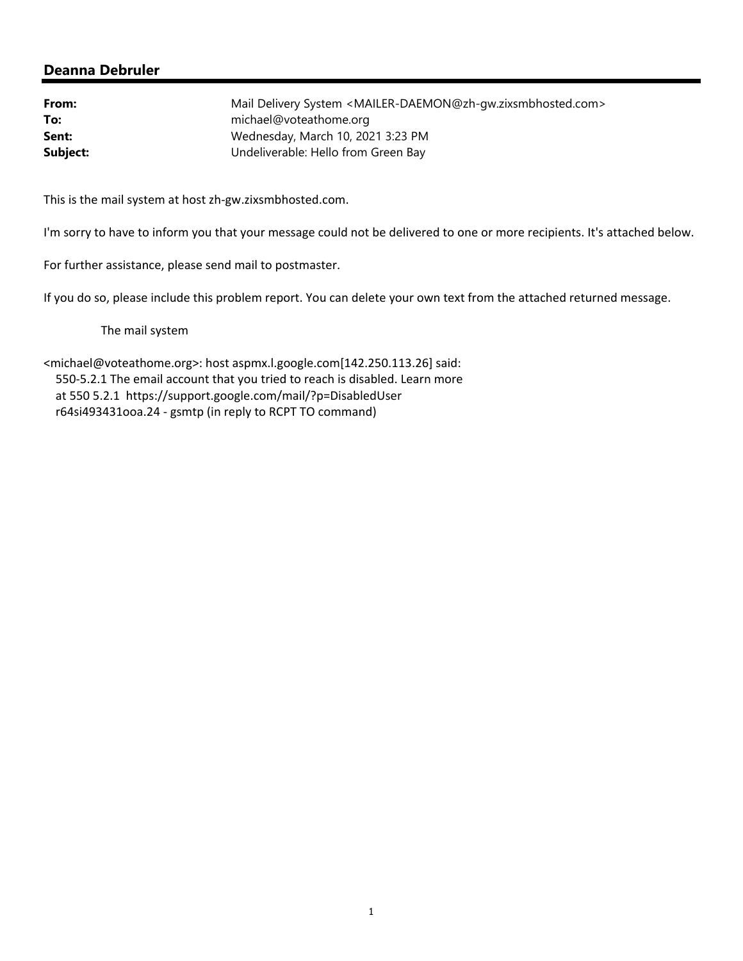| From:    | Mail Delivery System <mailer-daemon@zh-qw.zixsmbhosted.com></mailer-daemon@zh-qw.zixsmbhosted.com> |
|----------|----------------------------------------------------------------------------------------------------|
| To:      | michael@voteathome.org                                                                             |
| Sent:    | Wednesday, March 10, 2021 3:23 PM                                                                  |
| Subject: | Undeliverable: Hello from Green Bay                                                                |

This is the mail system at host zh‐gw.zixsmbhosted.com.

I'm sorry to have to inform you that your message could not be delivered to one or more recipients. It's attached below.

For further assistance, please send mail to postmaster.

If you do so, please include this problem report. You can delete your own text from the attached returned message.

The mail system

<michael@voteathome.org>: host aspmx.l.google.com[142.250.113.26] said: 550‐5.2.1 The email account that you tried to reach is disabled. Learn more at 550 5.2.1 https://support.google.com/mail/?p=DisabledUser r64si493431ooa.24 ‐ gsmtp (in reply to RCPT TO command)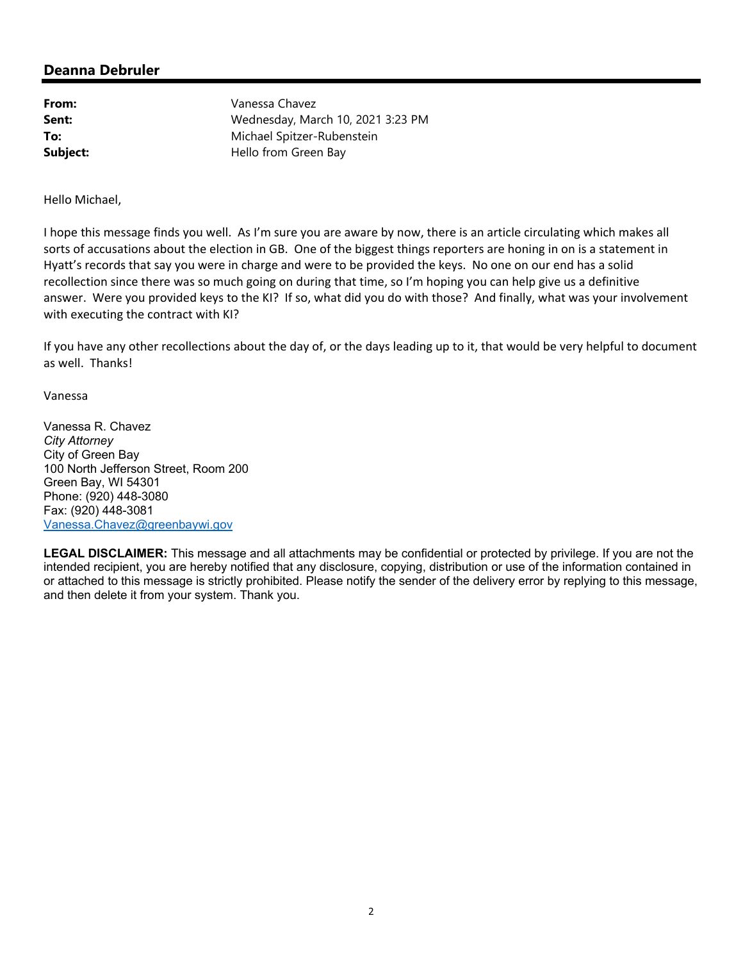| From:    | Vanessa Chavez                    |
|----------|-----------------------------------|
| Sent:    | Wednesday, March 10, 2021 3:23 PM |
| To:      | Michael Spitzer-Rubenstein        |
| Subject: | Hello from Green Bay              |

Hello Michael,

I hope this message finds you well. As I'm sure you are aware by now, there is an article circulating which makes all sorts of accusations about the election in GB. One of the biggest things reporters are honing in on is a statement in Hyatt's records that say you were in charge and were to be provided the keys. No one on our end has a solid recollection since there was so much going on during that time, so I'm hoping you can help give us a definitive answer. Were you provided keys to the KI? If so, what did you do with those? And finally, what was your involvement with executing the contract with KI?

If you have any other recollections about the day of, or the days leading up to it, that would be very helpful to document as well. Thanks!

Vanessa

Vanessa R. Chavez *City Attorney*  City of Green Bay 100 North Jefferson Street, Room 200 Green Bay, WI 54301 Phone: (920) 448-3080 Fax: (920) 448-3081 Vanessa.Chavez@greenbaywi.gov

**LEGAL DISCLAIMER:** This message and all attachments may be confidential or protected by privilege. If you are not the intended recipient, you are hereby notified that any disclosure, copying, distribution or use of the information contained in or attached to this message is strictly prohibited. Please notify the sender of the delivery error by replying to this message, and then delete it from your system. Thank you.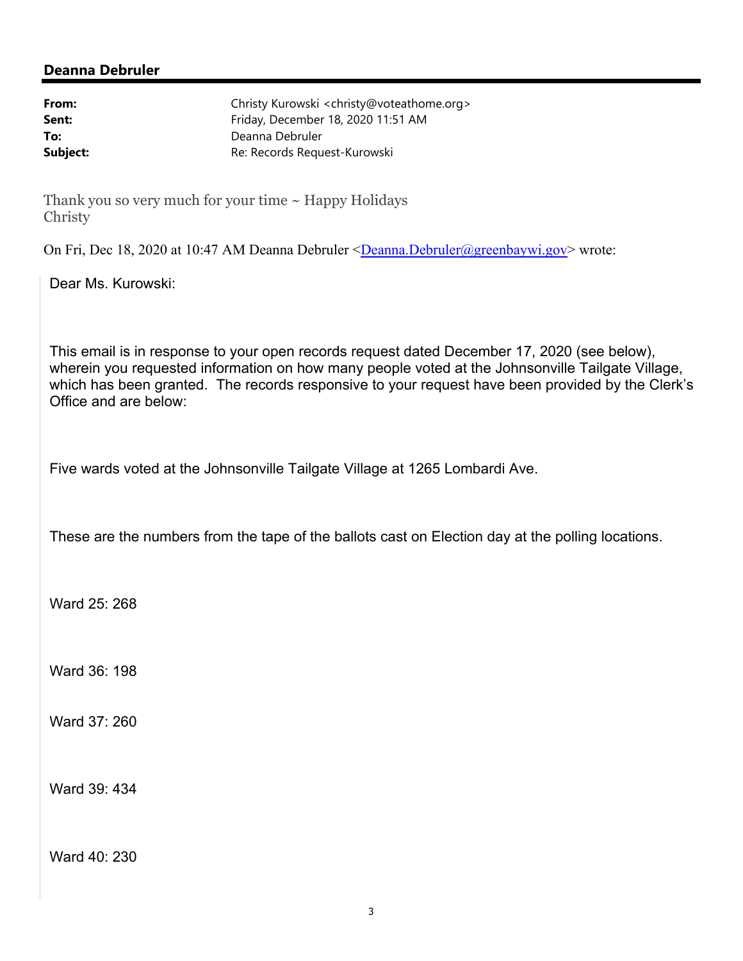| From:    | Christy Kurowski <christy@voteathome.org></christy@voteathome.org> |
|----------|--------------------------------------------------------------------|
| Sent:    | Friday, December 18, 2020 11:51 AM                                 |
| To:      | Deanna Debruler                                                    |
| Subject: | Re: Records Request-Kurowski                                       |

Thank you so very much for your time  $\sim$  Happy Holidays Christy

On Fri, Dec 18, 2020 at 10:47 AM Deanna Debruler <Deanna.Debruler@greenbaywi.gov> wrote:

Dear Ms. Kurowski:

This email is in response to your open records request dated December 17, 2020 (see below), wherein you requested information on how many people voted at the Johnsonville Tailgate Village, which has been granted. The records responsive to your request have been provided by the Clerk's Office and are below:

Five wards voted at the Johnsonville Tailgate Village at 1265 Lombardi Ave.

These are the numbers from the tape of the ballots cast on Election day at the polling locations.

Ward 25: 268

Ward 36: 198

Ward 37: 260

Ward 39: 434

Ward 40: 230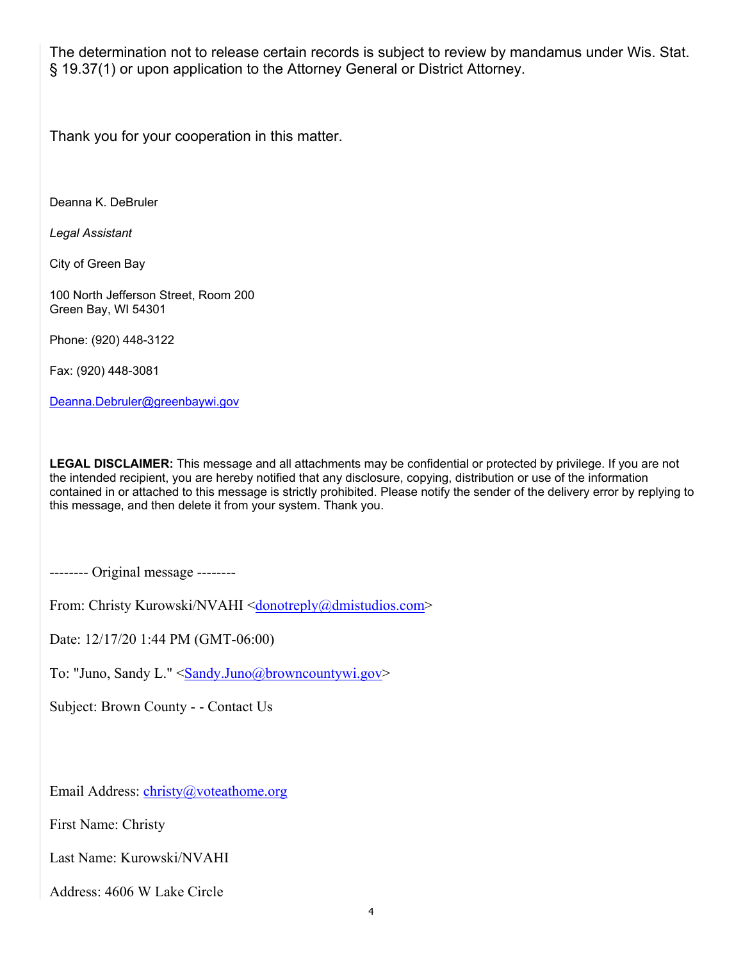The determination not to release certain records is subject to review by mandamus under Wis. Stat. § 19.37(1) or upon application to the Attorney General or District Attorney.

Thank you for your cooperation in this matter.

Deanna K. DeBruler

*Legal Assistant*

City of Green Bay

100 North Jefferson Street, Room 200 Green Bay, WI 54301

Phone: (920) 448-3122

Fax: (920) 448-3081

Deanna.Debruler@greenbaywi.gov

**LEGAL DISCLAIMER:** This message and all attachments may be confidential or protected by privilege. If you are not the intended recipient, you are hereby notified that any disclosure, copying, distribution or use of the information contained in or attached to this message is strictly prohibited. Please notify the sender of the delivery error by replying to this message, and then delete it from your system. Thank you.

-------- Original message --------

From: Christy Kurowski/NVAHI <donotreply@dmistudios.com>

Date: 12/17/20 1:44 PM (GMT-06:00)

To: "Juno, Sandy L." <Sandy.Juno@browncountywi.gov>

Subject: Brown County - - Contact Us

Email Address: christy@voteathome.org

First Name: Christy

Last Name: Kurowski/NVAHI

Address: 4606 W Lake Circle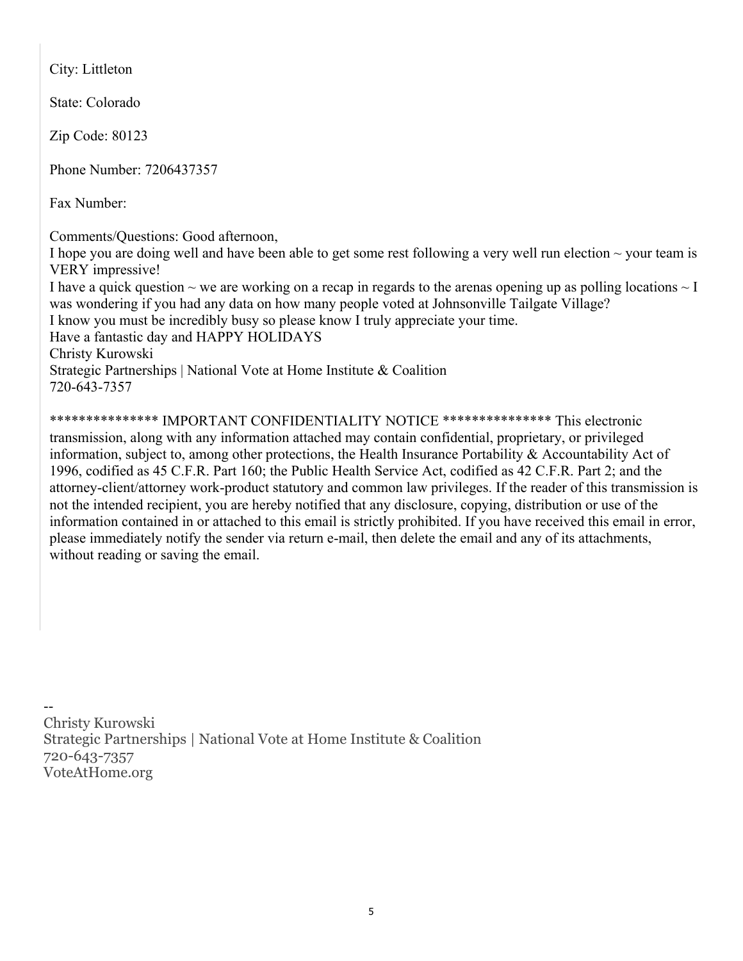City: Littleton

State: Colorado

Zip Code: 80123

Phone Number: 7206437357

Fax Number:

Comments/Questions: Good afternoon,

I hope you are doing well and have been able to get some rest following a very well run election  $\sim$  your team is VERY impressive!

I have a quick question  $\sim$  we are working on a recap in regards to the arenas opening up as polling locations  $\sim$  I was wondering if you had any data on how many people voted at Johnsonville Tailgate Village? I know you must be incredibly busy so please know I truly appreciate your time. Have a fantastic day and HAPPY HOLIDAYS Christy Kurowski

Strategic Partnerships | National Vote at Home Institute & Coalition 720-643-7357

\*\*\*\*\*\*\*\*\*\*\*\*\*\*\* IMPORTANT CONFIDENTIALITY NOTICE \*\*\*\*\*\*\*\*\*\*\*\*\*\*\* This electronic transmission, along with any information attached may contain confidential, proprietary, or privileged information, subject to, among other protections, the Health Insurance Portability & Accountability Act of 1996, codified as 45 C.F.R. Part 160; the Public Health Service Act, codified as 42 C.F.R. Part 2; and the attorney-client/attorney work-product statutory and common law privileges. If the reader of this transmission is not the intended recipient, you are hereby notified that any disclosure, copying, distribution or use of the information contained in or attached to this email is strictly prohibited. If you have received this email in error, please immediately notify the sender via return e-mail, then delete the email and any of its attachments, without reading or saving the email.

-- Christy Kurowski Strategic Partnerships | National Vote at Home Institute & Coalition 720-643-7357 VoteAtHome.org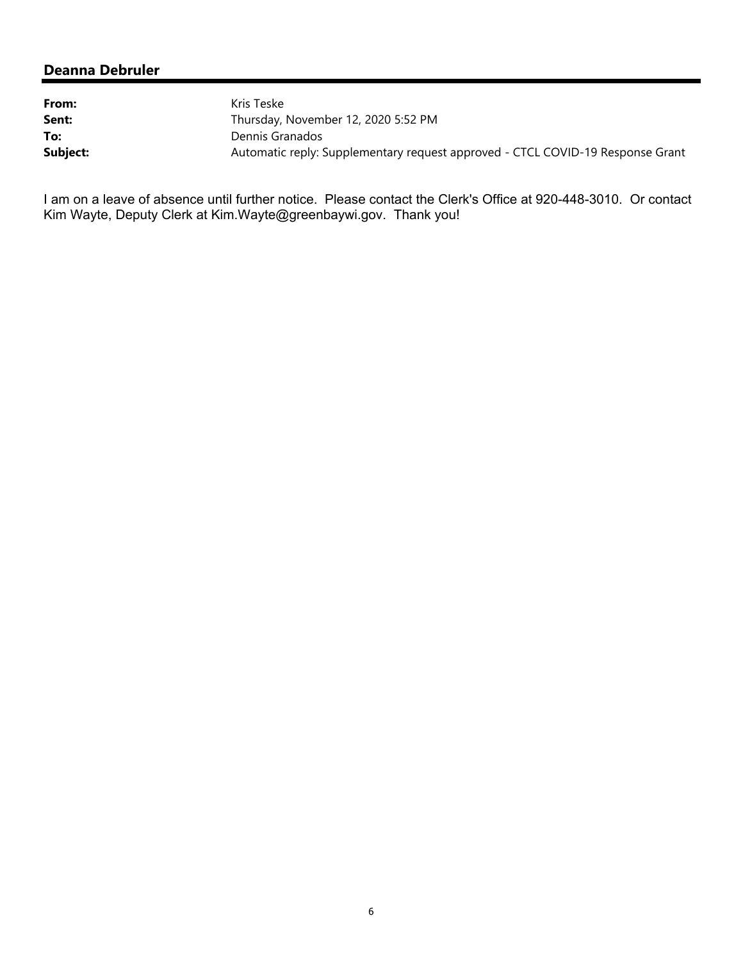| From:    | Kris Teske                                                                     |  |
|----------|--------------------------------------------------------------------------------|--|
| Sent:    | Thursday, November 12, 2020 5:52 PM                                            |  |
| To:      | Dennis Granados                                                                |  |
| Subject: | Automatic reply: Supplementary request approved - CTCL COVID-19 Response Grant |  |

I am on a leave of absence until further notice. Please contact the Clerk's Office at 920-448-3010. Or contact Kim Wayte, Deputy Clerk at Kim.Wayte@greenbaywi.gov. Thank you!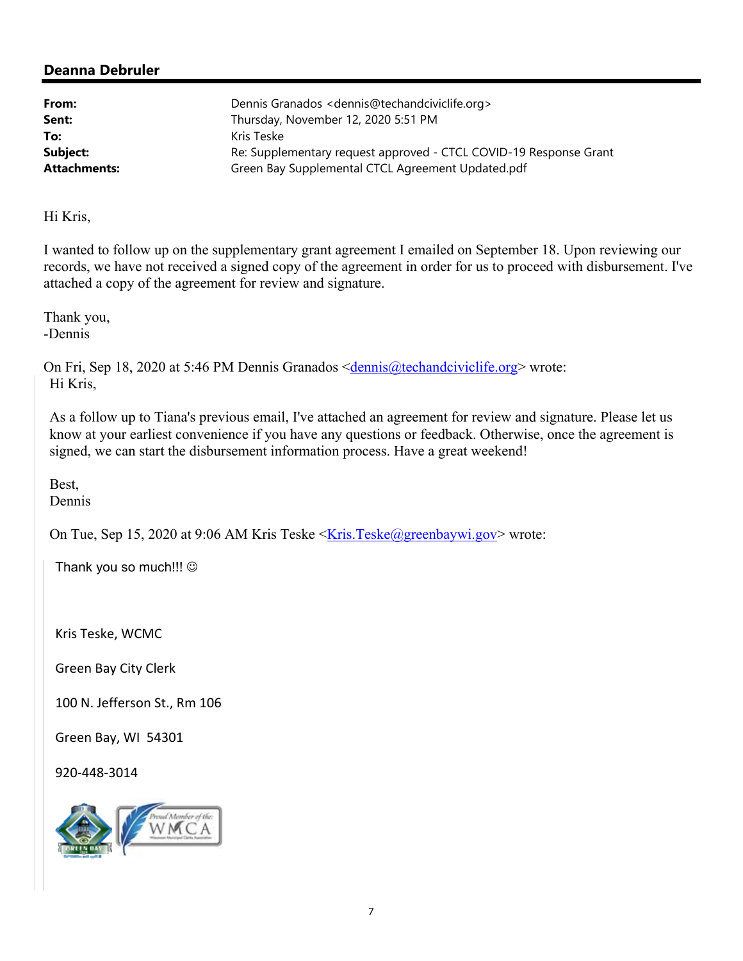| From:               | Dennis Granados < dennis@techandciviclife.org >                   |  |
|---------------------|-------------------------------------------------------------------|--|
| Sent:               | Thursday, November 12, 2020 5:51 PM                               |  |
| To:                 | Kris Teske                                                        |  |
| Subject:            | Re: Supplementary request approved - CTCL COVID-19 Response Grant |  |
| <b>Attachments:</b> | Green Bay Supplemental CTCL Agreement Updated.pdf                 |  |

Hi Kris,

I wanted to follow up on the supplementary grant agreement I emailed on September 18. Upon reviewing our records, we have not received a signed copy of the agreement in order for us to proceed with disbursement. I've attached a copy of the agreement for review and signature.

Thank you, -Dennis

On Fri, Sep 18, 2020 at 5:46 PM Dennis Granados <dennis@techandciviclife.org> wrote: Hi Kris,

As a follow up to Tiana's previous email, I've attached an agreement for review and signature. Please let us know at your earliest convenience if you have any questions or feedback. Otherwise, once the agreement is signed, we can start the disbursement information process. Have a great weekend!

Best, Dennis

On Tue, Sep 15, 2020 at 9:06 AM Kris Teske  $\leq$ Kris.Teske@greenbaywi.gov> wrote:

Thank you so much!!! ©

Kris Teske, WCMC

Green Bay City Clerk

100 N. Jefferson St., Rm 106

Green Bay, WI 54301

920‐448‐3014

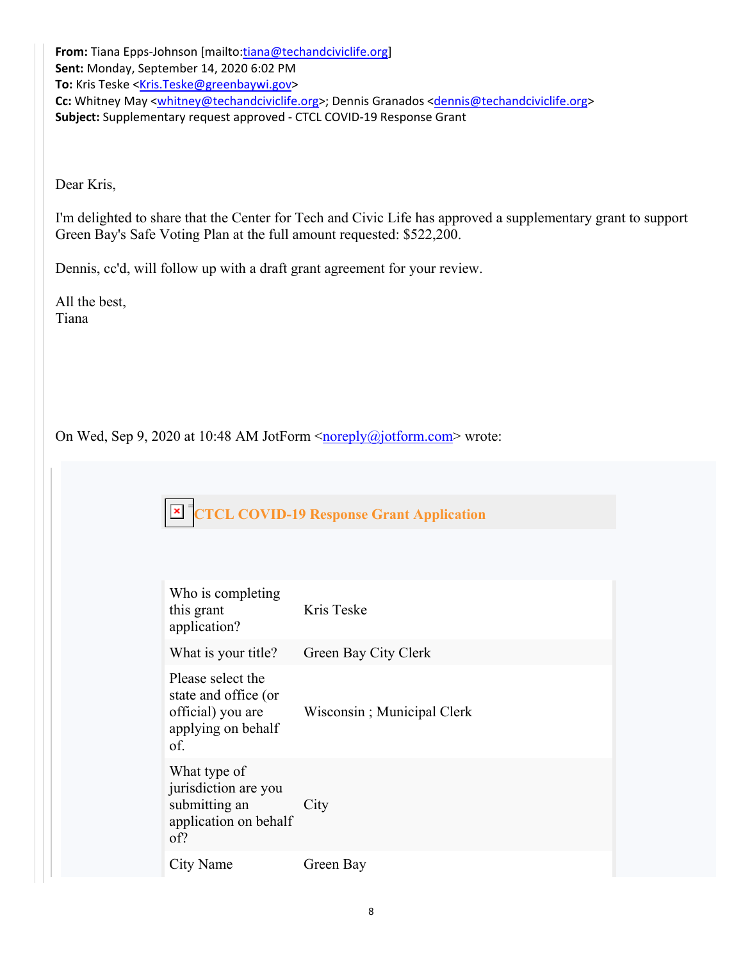From: Tiana Epps-Johnson [mailto:tiana@techandciviclife.org] **Sent:** Monday, September 14, 2020 6:02 PM To: Kris Teske <Kris.Teske@greenbaywi.gov> Cc: Whitney May <whitney@techandciviclife.org>; Dennis Granados <dennis@techandciviclife.org> **Subject:** Supplementary request approved ‐ CTCL COVID‐19 Response Grant

Dear Kris,

I'm delighted to share that the Center for Tech and Civic Life has approved a supplementary grant to support Green Bay's Safe Voting Plan at the full amount requested: \$522,200.

Dennis, cc'd, will follow up with a draft grant agreement for your review.

All the best, Tiana

On Wed, Sep 9, 2020 at 10:48 AM JotForm <noreply@jotform.com> wrote:

 $\vert x \vert$ To help protect y **CTCL COVID-19 Response Grant Application** picture from the

| Who is completing<br>this grant<br>application?                                             | Kris Teske                 |
|---------------------------------------------------------------------------------------------|----------------------------|
| What is your title?                                                                         | Green Bay City Clerk       |
| Please select the<br>state and office (or<br>official) you are<br>applying on behalf<br>of. | Wisconsin; Municipal Clerk |
| What type of<br>jurisdiction are you<br>submitting an<br>application on behalf<br>of?       | City                       |
| City Name                                                                                   | Green Bay                  |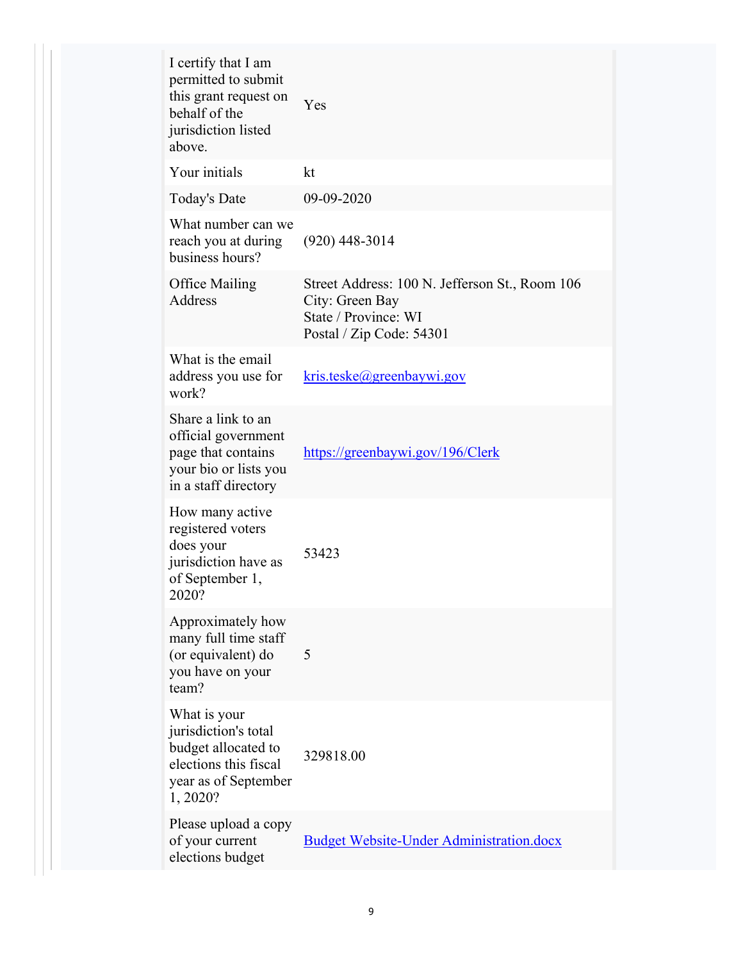| I certify that I am<br>permitted to submit<br>this grant request on<br>behalf of the<br>jurisdiction listed<br>above.    | Yes                                                                                                                   |  |
|--------------------------------------------------------------------------------------------------------------------------|-----------------------------------------------------------------------------------------------------------------------|--|
| Your initials                                                                                                            | kt                                                                                                                    |  |
| Today's Date                                                                                                             | 09-09-2020                                                                                                            |  |
| What number can we<br>reach you at during<br>business hours?                                                             | (920) 448-3014                                                                                                        |  |
| <b>Office Mailing</b><br><b>Address</b>                                                                                  | Street Address: 100 N. Jefferson St., Room 106<br>City: Green Bay<br>State / Province: WI<br>Postal / Zip Code: 54301 |  |
| What is the email<br>address you use for<br>work?                                                                        | kris.teske@greenbaywi.gov                                                                                             |  |
| Share a link to an<br>official government<br>page that contains<br>your bio or lists you<br>in a staff directory         | https://greenbaywi.gov/196/Clerk                                                                                      |  |
| How many active<br>registered voters<br>does your<br>jurisdiction have as<br>of September 1,<br>2020?                    | 53423                                                                                                                 |  |
| Approximately how<br>many full time staff<br>(or equivalent) do<br>you have on your<br>team?                             | 5                                                                                                                     |  |
| What is your<br>jurisdiction's total<br>budget allocated to<br>elections this fiscal<br>year as of September<br>1, 2020? | 329818.00                                                                                                             |  |
| Please upload a copy<br>of your current<br>elections budget                                                              | <b>Budget Website-Under Administration.docx</b>                                                                       |  |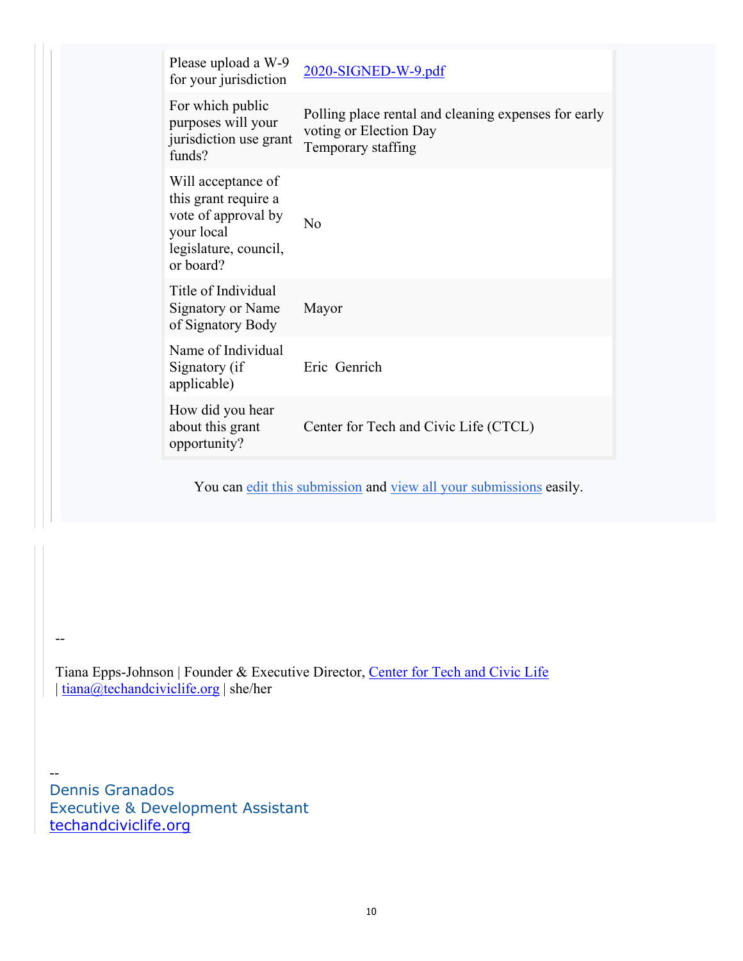| Please upload a W-9<br>for your jurisdiction                                                                          | 2020-SIGNED-W-9.pdf                                                                                  |
|-----------------------------------------------------------------------------------------------------------------------|------------------------------------------------------------------------------------------------------|
| For which public<br>purposes will your<br>jurisdiction use grant<br>funds?                                            | Polling place rental and cleaning expenses for early<br>voting or Election Day<br>Temporary staffing |
| Will acceptance of<br>this grant require a<br>vote of approval by<br>your local<br>legislature, council,<br>or board? | No                                                                                                   |
| Title of Individual<br><b>Signatory or Name</b><br>of Signatory Body                                                  | Mayor                                                                                                |
| Name of Individual<br>Signatory (if<br>applicable)                                                                    | Eric Genrich                                                                                         |
| How did you hear<br>about this grant<br>opportunity?                                                                  | Center for Tech and Civic Life (CTCL)                                                                |

You can edit this submission and view all your submissions easily.

Tiana Epps-Johnson | Founder & Executive Director, Center for Tech and Civic Life | tiana@techandciviclife.org | she/her

Dennis Granados Executive & Development Assistant techandciviclife.org

--

--